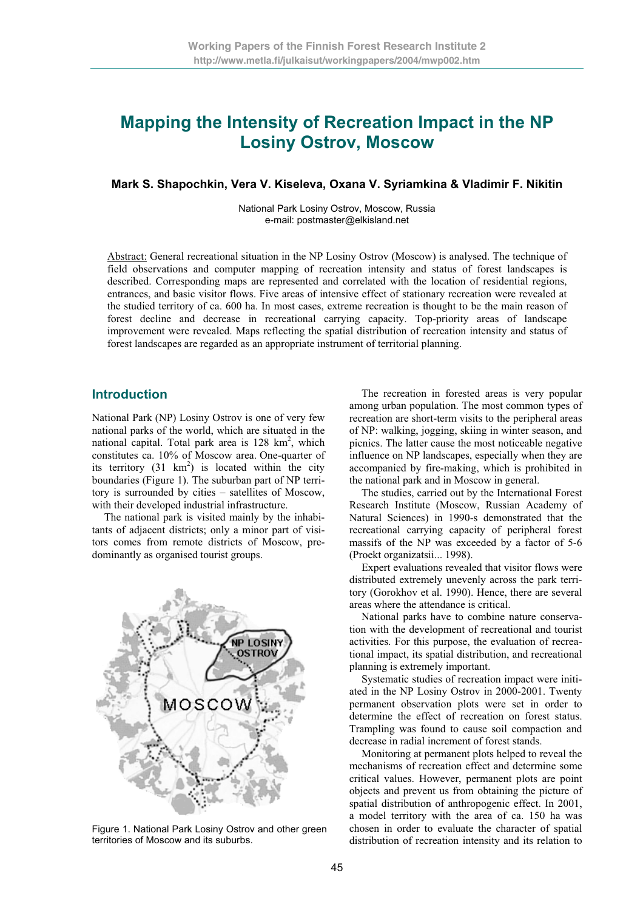# **Mapping the Intensity of Recreation Impact in the NP Losiny Ostrov, Moscow**

#### **Mark S. Shapochkin, Vera V. Kiseleva, Oxana V. Syriamkina & Vladimir F. Nikitin**

National Park Losiny Ostrov, Moscow, Russia e-mail: postmaster@elkisland.net

Abstract: General recreational situation in the NP Losiny Ostrov (Moscow) is analysed. The technique of field observations and computer mapping of recreation intensity and status of forest landscapes is described. Corresponding maps are represented and correlated with the location of residential regions, entrances, and basic visitor flows. Five areas of intensive effect of stationary recreation were revealed at the studied territory of ca. 600 ha. In most cases, extreme recreation is thought to be the main reason of forest decline and decrease in recreational carrying capacity. Top-priority areas of landscape improvement were revealed. Maps reflecting the spatial distribution of recreation intensity and status of forest landscapes are regarded as an appropriate instrument of territorial planning.

## **Introduction**

National Park (NP) Losiny Ostrov is one of very few national parks of the world, which are situated in the national capital. Total park area is  $128 \text{ km}^2$ , which constitutes ca. 10% of Moscow area. One-quarter of its territory  $(31 \text{ km}^2)$  is located within the city boundaries (Figure 1). The suburban part of NP territory is surrounded by cities – satellites of Moscow, with their developed industrial infrastructure.

The national park is visited mainly by the inhabitants of adjacent districts; only a minor part of visitors comes from remote districts of Moscow, predominantly as organised tourist groups.



Figure 1. National Park Losiny Ostrov and other green territories of Moscow and its suburbs.

The recreation in forested areas is very popular among urban population. The most common types of recreation are short-term visits to the peripheral areas of NP: walking, jogging, skiing in winter season, and picnics. The latter cause the most noticeable negative influence on NP landscapes, especially when they are accompanied by fire-making, which is prohibited in the national park and in Moscow in general.

The studies, carried out by the International Forest Research Institute (Moscow, Russian Academy of Natural Sciences) in 1990-s demonstrated that the recreational carrying capacity of peripheral forest massifs of the NP was exceeded by a factor of 5-6 (Proekt organizatsii... 1998).

Expert evaluations revealed that visitor flows were distributed extremely unevenly across the park territory (Gorokhov et al. 1990). Hence, there are several areas where the attendance is critical.

National parks have to combine nature conservation with the development of recreational and tourist activities. For this purpose, the evaluation of recreational impact, its spatial distribution, and recreational planning is extremely important.

Systematic studies of recreation impact were initiated in the NP Losiny Ostrov in 2000-2001. Twenty permanent observation plots were set in order to determine the effect of recreation on forest status. Trampling was found to cause soil compaction and decrease in radial increment of forest stands.

Monitoring at permanent plots helped to reveal the mechanisms of recreation effect and determine some critical values. However, permanent plots are point objects and prevent us from obtaining the picture of spatial distribution of anthropogenic effect. In 2001, a model territory with the area of ca. 150 ha was chosen in order to evaluate the character of spatial distribution of recreation intensity and its relation to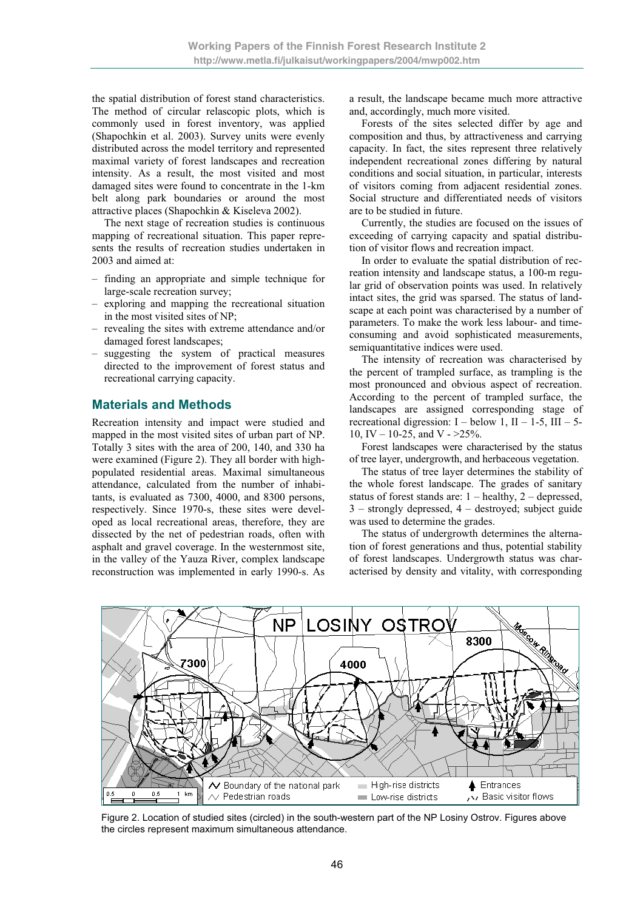the spatial distribution of forest stand characteristics. The method of circular relascopic plots, which is commonly used in forest inventory, was applied (Shapochkin et al. 2003). Survey units were evenly distributed across the model territory and represented maximal variety of forest landscapes and recreation intensity. As a result, the most visited and most damaged sites were found to concentrate in the 1-km belt along park boundaries or around the most attractive places (Shapochkin & Kiseleva 2002).

The next stage of recreation studies is continuous mapping of recreational situation. This paper represents the results of recreation studies undertaken in 2003 and aimed at:

- finding an appropriate and simple technique for large-scale recreation survey;
- exploring and mapping the recreational situation in the most visited sites of NP;
- revealing the sites with extreme attendance and/or damaged forest landscapes;
- suggesting the system of practical measures directed to the improvement of forest status and recreational carrying capacity.

# **Materials and Methods**

Recreation intensity and impact were studied and mapped in the most visited sites of urban part of NP. Totally 3 sites with the area of 200, 140, and 330 ha were examined (Figure 2). They all border with highpopulated residential areas. Maximal simultaneous attendance, calculated from the number of inhabitants, is evaluated as 7300, 4000, and 8300 persons, respectively. Since 1970-s, these sites were developed as local recreational areas, therefore, they are dissected by the net of pedestrian roads, often with asphalt and gravel coverage. In the westernmost site, in the valley of the Yauza River, complex landscape reconstruction was implemented in early 1990-s. As a result, the landscape became much more attractive and, accordingly, much more visited.

Forests of the sites selected differ by age and composition and thus, by attractiveness and carrying capacity. In fact, the sites represent three relatively independent recreational zones differing by natural conditions and social situation, in particular, interests of visitors coming from adjacent residential zones. Social structure and differentiated needs of visitors are to be studied in future.

Currently, the studies are focused on the issues of exceeding of carrying capacity and spatial distribution of visitor flows and recreation impact.

In order to evaluate the spatial distribution of recreation intensity and landscape status, a 100-m regular grid of observation points was used. In relatively intact sites, the grid was sparsed. The status of landscape at each point was characterised by a number of parameters. To make the work less labour- and timeconsuming and avoid sophisticated measurements, semiquantitative indices were used.

The intensity of recreation was characterised by the percent of trampled surface, as trampling is the most pronounced and obvious aspect of recreation. According to the percent of trampled surface, the landscapes are assigned corresponding stage of recreational digression:  $I -$  below 1,  $II - 1-5$ ,  $III - 5-$ 10, IV – 10-25, and V -  $>25\%$ .

Forest landscapes were characterised by the status of tree layer, undergrowth, and herbaceous vegetation.

The status of tree layer determines the stability of the whole forest landscape. The grades of sanitary status of forest stands are:  $1 - \text{healthy}$ ,  $2 - \text{degreesed}$ , 3 – strongly depressed, 4 – destroyed; subject guide was used to determine the grades.

The status of undergrowth determines the alternation of forest generations and thus, potential stability of forest landscapes. Undergrowth status was characterised by density and vitality, with corresponding



Figure 2. Location of studied sites (circled) in the south-western part of the NP Losiny Ostrov. Figures above the circles represent maximum simultaneous attendance.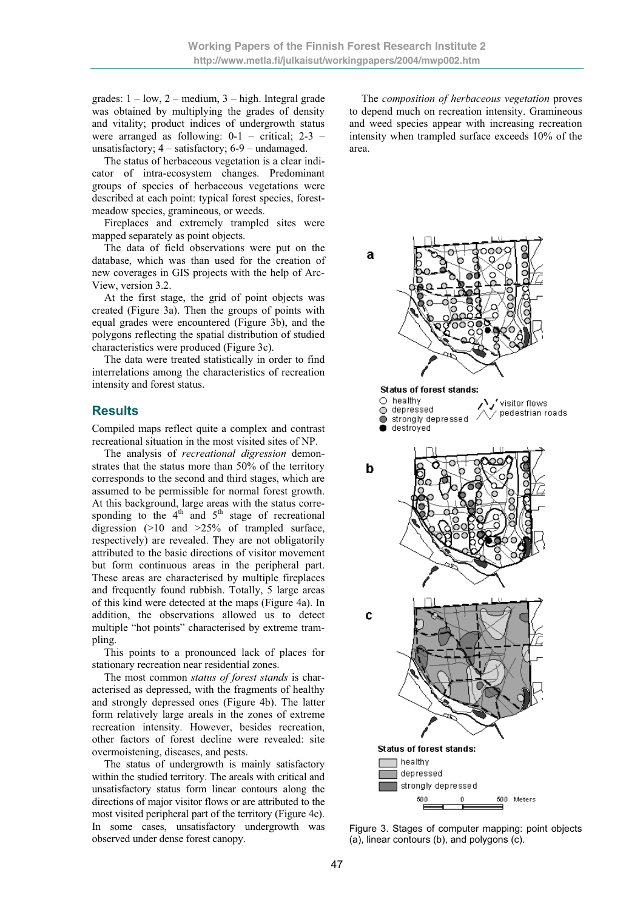grades:  $1 - low$ ,  $2 - medium$ ,  $3 - high$ . Integral grade was obtained by multiplying the grades of density and vitality; product indices of undergrowth status were arranged as following:  $0-1$  – critical;  $2-3$  – unsatisfactory; 4 – satisfactory; 6-9 – undamaged.

The status of herbaceous vegetation is a clear indicator of intra-ecosystem changes. Predominant groups of species of herbaceous vegetations were described at each point: typical forest species, forestmeadow species, gramineous, or weeds.

Fireplaces and extremely trampled sites were mapped separately as point objects.

The data of field observations were put on the database, which was than used for the creation of new coverages in GIS projects with the help of Arc-View, version 3.2.

At the first stage, the grid of point objects was created (Figure 3a). Then the groups of points with equal grades were encountered (Figure 3b), and the polygons reflecting the spatial distribution of studied characteristics were produced (Figure 3c).

The data were treated statistically in order to find interrelations among the characteristics of recreation intensity and forest status.

## **Results**

Compiled maps reflect quite a complex and contrast recreational situation in the most visited sites of NP.

The analysis of *recreational digression* demonstrates that the status more than 50% of the territory corresponds to the second and third stages, which are assumed to be permissible for normal forest growth. At this background, large areas with the status corresponding to the  $4<sup>th</sup>$  and  $5<sup>th</sup>$  stage of recreational digression (>10 and >25% of trampled surface, respectively) are revealed. They are not obligatorily attributed to the basic directions of visitor movement but form continuous areas in the peripheral part. These areas are characterised by multiple fireplaces and frequently found rubbish. Totally, 5 large areas of this kind were detected at the maps (Figure 4a). In addition, the observations allowed us to detect multiple "hot points" characterised by extreme trampling.

This points to a pronounced lack of places for stationary recreation near residential zones.

The most common *status of forest stands* is characterised as depressed, with the fragments of healthy and strongly depressed ones (Figure 4b). The latter form relatively large areals in the zones of extreme recreation intensity. However, besides recreation, other factors of forest decline were revealed: site overmoistening, diseases, and pests.

The status of undergrowth is mainly satisfactory within the studied territory. The areals with critical and unsatisfactory status form linear contours along the directions of major visitor flows or are attributed to the most visited peripheral part of the territory (Figure 4c). In some cases, unsatisfactory undergrowth was observed under dense forest canopy.

The *composition of herbaceous vegetation* proves to depend much on recreation intensity. Gramineous and weed species appear with increasing recreation intensity when trampled surface exceeds 10% of the area.



Figure 3. Stages of computer mapping: point objects (a), linear contours (b), and polygons (c).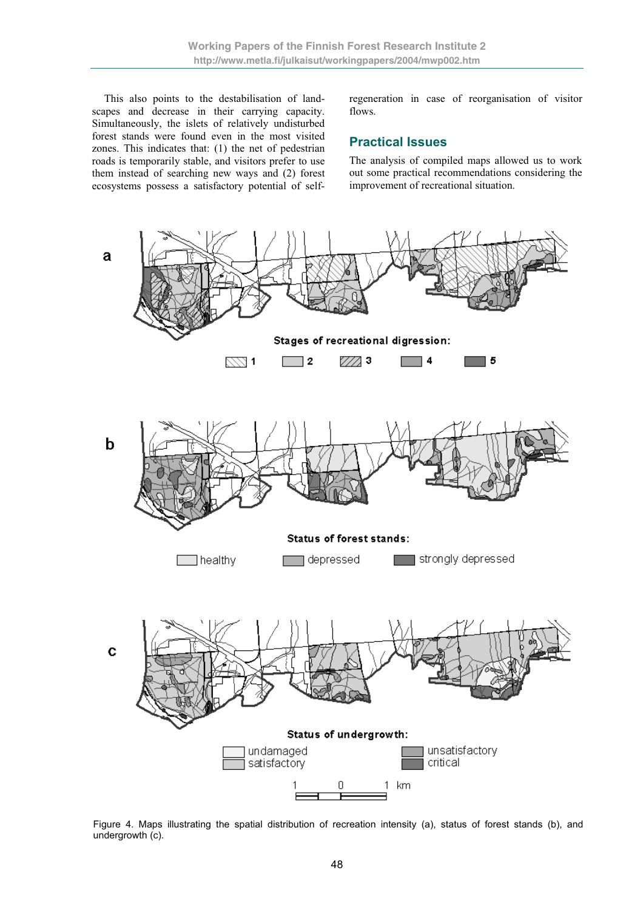This also points to the destabilisation of landscapes and decrease in their carrying capacity. Simultaneously, the islets of relatively undisturbed forest stands were found even in the most visited zones. This indicates that: (1) the net of pedestrian roads is temporarily stable, and visitors prefer to use them instead of searching new ways and (2) forest ecosystems possess a satisfactory potential of selfregeneration in case of reorganisation of visitor flows.

# **Practical Issues**

The analysis of compiled maps allowed us to work out some practical recommendations considering the improvement of recreational situation.



Figure 4. Maps illustrating the spatial distribution of recreation intensity (a), status of forest stands (b), and undergrowth (c).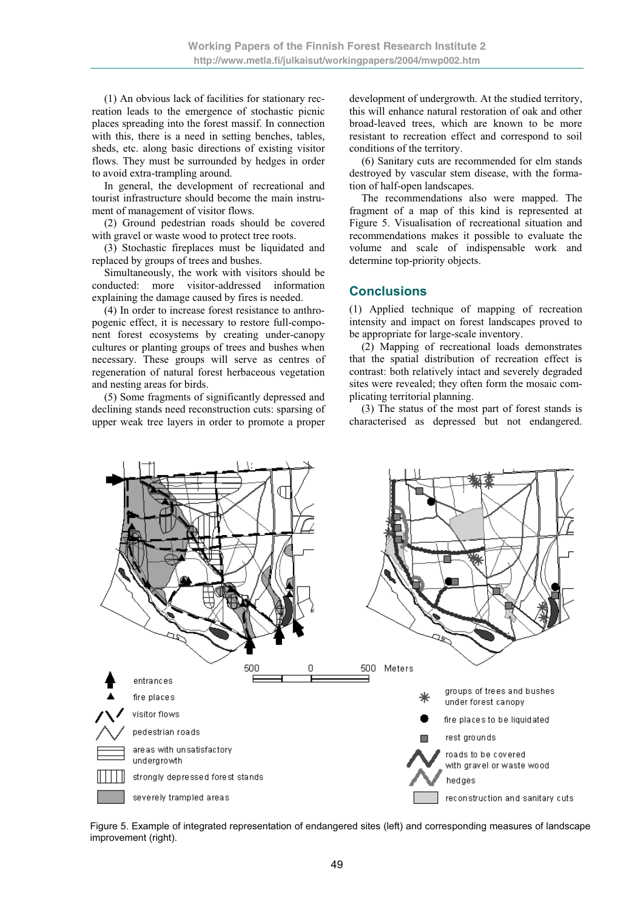(1) An obvious lack of facilities for stationary recreation leads to the emergence of stochastic picnic places spreading into the forest massif. In connection with this, there is a need in setting benches, tables, sheds, etc. along basic directions of existing visitor flows. They must be surrounded by hedges in order to avoid extra-trampling around.

In general, the development of recreational and tourist infrastructure should become the main instrument of management of visitor flows.

(2) Ground pedestrian roads should be covered with gravel or waste wood to protect tree roots.

(3) Stochastic fireplaces must be liquidated and replaced by groups of trees and bushes.

Simultaneously, the work with visitors should be conducted: more visitor-addressed information explaining the damage caused by fires is needed.

(4) In order to increase forest resistance to anthropogenic effect, it is necessary to restore full-component forest ecosystems by creating under-canopy cultures or planting groups of trees and bushes when necessary. These groups will serve as centres of regeneration of natural forest herbaceous vegetation and nesting areas for birds.

(5) Some fragments of significantly depressed and declining stands need reconstruction cuts: sparsing of upper weak tree layers in order to promote a proper

development of undergrowth. At the studied territory, this will enhance natural restoration of oak and other broad-leaved trees, which are known to be more resistant to recreation effect and correspond to soil conditions of the territory.

(6) Sanitary cuts are recommended for elm stands destroyed by vascular stem disease, with the formation of half-open landscapes.

The recommendations also were mapped. The fragment of a map of this kind is represented at Figure 5. Visualisation of recreational situation and recommendations makes it possible to evaluate the volume and scale of indispensable work and determine top-priority objects.

## **Conclusions**

(1) Applied technique of mapping of recreation intensity and impact on forest landscapes proved to be appropriate for large-scale inventory.

(2) Mapping of recreational loads demonstrates that the spatial distribution of recreation effect is contrast: both relatively intact and severely degraded sites were revealed; they often form the mosaic complicating territorial planning.

(3) The status of the most part of forest stands is characterised as depressed but not endangered.



Figure 5. Example of integrated representation of endangered sites (left) and corresponding measures of landscape improvement (right).